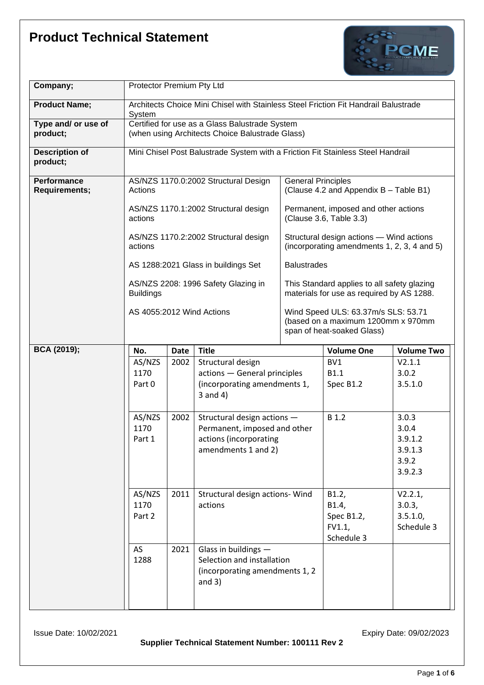

| Company;                            | Protector Premium Pty Ltd                                                                                                            |             |                                                             |                                                                                          |                |                   |
|-------------------------------------|--------------------------------------------------------------------------------------------------------------------------------------|-------------|-------------------------------------------------------------|------------------------------------------------------------------------------------------|----------------|-------------------|
| <b>Product Name;</b>                | Architects Choice Mini Chisel with Stainless Steel Friction Fit Handrail Balustrade<br>System                                        |             |                                                             |                                                                                          |                |                   |
| Type and/ or use of<br>product;     | Certified for use as a Glass Balustrade System<br>(when using Architects Choice Balustrade Glass)                                    |             |                                                             |                                                                                          |                |                   |
| <b>Description of</b><br>product;   | Mini Chisel Post Balustrade System with a Friction Fit Stainless Steel Handrail                                                      |             |                                                             |                                                                                          |                |                   |
| Performance<br><b>Requirements;</b> | AS/NZS 1170.0:2002 Structural Design<br>Actions                                                                                      |             |                                                             | <b>General Principles</b><br>(Clause 4.2 and Appendix B - Table B1)                      |                |                   |
|                                     | AS/NZS 1170.1:2002 Structural design<br>actions<br>AS/NZS 1170.2:2002 Structural design<br>actions                                   |             |                                                             | Permanent, imposed and other actions<br>(Clause 3.6, Table 3.3)                          |                |                   |
|                                     |                                                                                                                                      |             |                                                             | Structural design actions - Wind actions<br>(incorporating amendments 1, 2, 3, 4 and 5)  |                |                   |
|                                     |                                                                                                                                      |             | AS 1288:2021 Glass in buildings Set                         | <b>Balustrades</b>                                                                       |                |                   |
|                                     | <b>Buildings</b>                                                                                                                     |             | AS/NZS 2208: 1996 Safety Glazing in                         | This Standard applies to all safety glazing<br>materials for use as required by AS 1288. |                |                   |
|                                     | Wind Speed ULS: 63.37m/s SLS: 53.71<br>AS 4055:2012 Wind Actions<br>(based on a maximum 1200mm x 970mm<br>span of heat-soaked Glass) |             |                                                             |                                                                                          |                |                   |
| <b>BCA (2019);</b>                  | No.                                                                                                                                  | <b>Date</b> | <b>Title</b><br><b>Volume One</b><br><b>Volume Two</b>      |                                                                                          |                |                   |
| AS/NZS                              |                                                                                                                                      |             |                                                             |                                                                                          |                |                   |
|                                     |                                                                                                                                      | 2002        | Structural design                                           |                                                                                          | BV1            | V2.1.1            |
|                                     | 1170                                                                                                                                 |             | actions - General principles                                |                                                                                          | B1.1           | 3.0.2             |
|                                     | Part 0                                                                                                                               |             | (incorporating amendments 1,<br>$3$ and $4)$                |                                                                                          | Spec B1.2      | 3.5.1.0           |
|                                     |                                                                                                                                      |             |                                                             |                                                                                          | B 1.2          | 3.0.3             |
|                                     | AS/NZS<br>1170                                                                                                                       | 2002        | Structural design actions -<br>Permanent, imposed and other |                                                                                          |                | 3.0.4             |
|                                     | Part 1                                                                                                                               |             | actions (incorporating                                      |                                                                                          |                | 3.9.1.2           |
|                                     |                                                                                                                                      |             | amendments 1 and 2)                                         |                                                                                          |                | 3.9.1.3           |
|                                     |                                                                                                                                      |             |                                                             |                                                                                          |                | 3.9.2             |
|                                     |                                                                                                                                      |             |                                                             |                                                                                          |                | 3.9.2.3           |
|                                     |                                                                                                                                      |             |                                                             |                                                                                          |                |                   |
|                                     | AS/NZS<br>1170                                                                                                                       | 2011        | Structural design actions- Wind<br>actions                  |                                                                                          | B1.2,<br>B1.4, | V2.2.1,<br>3.0.3, |
|                                     | Part 2                                                                                                                               |             |                                                             |                                                                                          | Spec B1.2,     | 3.5.1.0,          |
|                                     |                                                                                                                                      |             |                                                             |                                                                                          | FV1.1          | Schedule 3        |
|                                     |                                                                                                                                      |             |                                                             |                                                                                          | Schedule 3     |                   |
|                                     | AS                                                                                                                                   | 2021        | Glass in buildings -                                        |                                                                                          |                |                   |
|                                     | 1288                                                                                                                                 |             | Selection and installation                                  |                                                                                          |                |                   |
|                                     |                                                                                                                                      |             | (incorporating amendments 1, 2<br>and $3)$                  |                                                                                          |                |                   |
|                                     |                                                                                                                                      |             |                                                             |                                                                                          |                |                   |

**Supplier Technical Statement Number: 100111 Rev 2**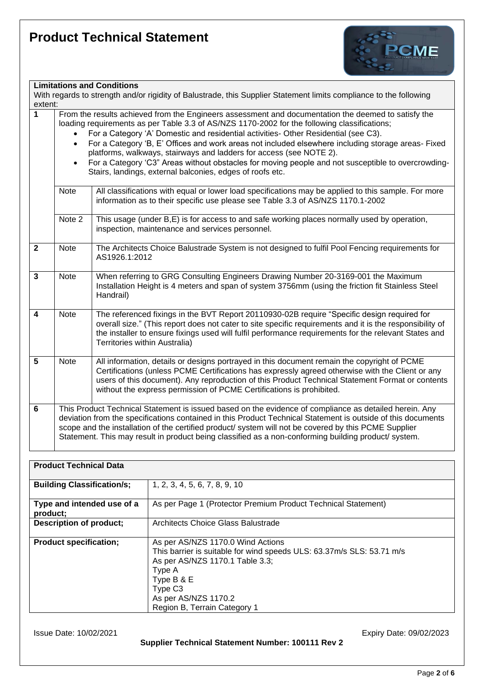

#### **Limitations and Conditions**

|         | LUURUUDIIS UNU OONURUONS                                                                                           |
|---------|--------------------------------------------------------------------------------------------------------------------|
|         | With regards to strength and/or rigidity of Balustrade, this Supplier Statement limits compliance to the following |
| extent: |                                                                                                                    |
|         |                                                                                                                    |

**1** From the results achieved from the Engineers assessment and documentation the deemed to satisfy the loading requirements as per Table 3.3 of AS/NZS 1170-2002 for the following classifications;

- For a Category 'A' Domestic and residential activities- Other Residential (see C3).
- For a Category 'B, E' Offices and work areas not included elsewhere including storage areas- Fixed platforms, walkways, stairways and ladders for access (see NOTE 2).
- For a Category 'C3" Areas without obstacles for moving people and not susceptible to overcrowding-Stairs, landings, external balconies, edges of roofs etc.

|                         | Note        | All classifications with equal or lower load specifications may be applied to this sample. For more<br>information as to their specific use please see Table 3.3 of AS/NZS 1170.1-2002                                                                                                                                                                                                                                                  |
|-------------------------|-------------|-----------------------------------------------------------------------------------------------------------------------------------------------------------------------------------------------------------------------------------------------------------------------------------------------------------------------------------------------------------------------------------------------------------------------------------------|
|                         | Note 2      | This usage (under B,E) is for access to and safe working places normally used by operation,<br>inspection, maintenance and services personnel.                                                                                                                                                                                                                                                                                          |
| $\overline{2}$          | <b>Note</b> | The Architects Choice Balustrade System is not designed to fulfil Pool Fencing requirements for<br>AS1926.1:2012                                                                                                                                                                                                                                                                                                                        |
| 3                       | <b>Note</b> | When referring to GRG Consulting Engineers Drawing Number 20-3169-001 the Maximum<br>Installation Height is 4 meters and span of system 3756mm (using the friction fit Stainless Steel<br>Handrail)                                                                                                                                                                                                                                     |
| $\overline{\mathbf{4}}$ | <b>Note</b> | The referenced fixings in the BVT Report 20110930-02B require "Specific design required for<br>overall size." (This report does not cater to site specific requirements and it is the responsibility of<br>the installer to ensure fixings used will fulfil performance requirements for the relevant States and<br>Territories within Australia)                                                                                       |
| 5                       | <b>Note</b> | All information, details or designs portrayed in this document remain the copyright of PCME<br>Certifications (unless PCME Certifications has expressly agreed otherwise with the Client or any<br>users of this document). Any reproduction of this Product Technical Statement Format or contents<br>without the express permission of PCME Certifications is prohibited.                                                             |
| 6                       |             | This Product Technical Statement is issued based on the evidence of compliance as detailed herein. Any<br>deviation from the specifications contained in this Product Technical Statement is outside of this documents<br>scope and the installation of the certified product/ system will not be covered by this PCME Supplier<br>Statement. This may result in product being classified as a non-conforming building product/ system. |

| <b>Product Technical Data</b>          |                                                                                                                                                                                                                                                      |
|----------------------------------------|------------------------------------------------------------------------------------------------------------------------------------------------------------------------------------------------------------------------------------------------------|
| <b>Building Classification/s;</b>      | 1, 2, 3, 4, 5, 6, 7, 8, 9, 10                                                                                                                                                                                                                        |
| Type and intended use of a<br>product; | As per Page 1 (Protector Premium Product Technical Statement)                                                                                                                                                                                        |
| <b>Description of product;</b>         | Architects Choice Glass Balustrade                                                                                                                                                                                                                   |
| <b>Product specification;</b>          | As per AS/NZS 1170.0 Wind Actions<br>This barrier is suitable for wind speeds ULS: 63.37m/s SLS: 53.71 m/s<br>As per AS/NZS 1170.1 Table 3.3;<br>Type A<br>Type B & E<br>Type C <sub>3</sub><br>As per AS/NZS 1170.2<br>Region B, Terrain Category 1 |

**Supplier Technical Statement Number: 100111 Rev 2**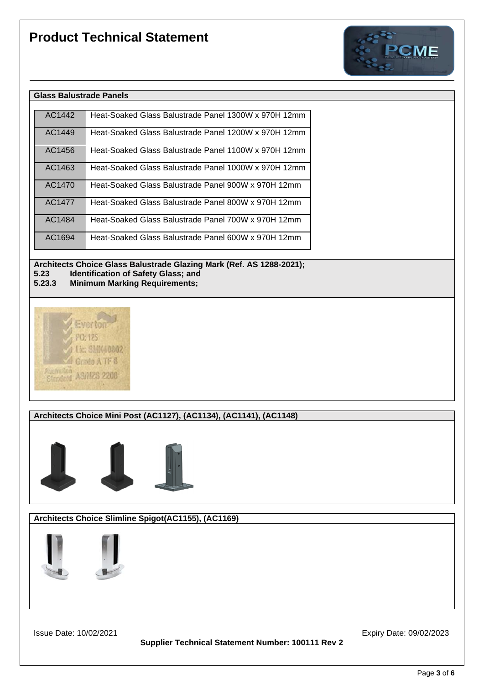

| AC1442 | Heat-Soaked Glass Balustrade Panel 1300W x 970H 12mm |
|--------|------------------------------------------------------|
| AC1449 | Heat-Soaked Glass Balustrade Panel 1200W x 970H 12mm |
| AC1456 | Heat-Soaked Glass Balustrade Panel 1100W x 970H 12mm |
| AC1463 | Heat-Soaked Glass Balustrade Panel 1000W x 970H 12mm |
| AC1470 | Heat-Soaked Glass Balustrade Panel 900W x 970H 12mm  |
| AC1477 | Heat-Soaked Glass Balustrade Panel 800W x 970H 12mm  |
| AC1484 | Heat-Soaked Glass Balustrade Panel 700W x 970H 12mm  |
| AC1694 | Heat-Soaked Glass Balustrade Panel 600W x 970H 12mm  |

**Architects Choice Glass Balustrade Glazing Mark (Ref. AS 1288-2021); 5.23** Identification of Safety Glass; and<br>**5.23.3** Minimum Marking Reguirements;

**5.23.3 Minimum Marking Requirements;**



**Architects Choice Mini Post (AC1127), (AC1134), (AC1141), (AC1148)** 



**Architects Choice Slimline Spigot(AC1155), (AC1169)**



**Supplier Technical Statement Number: 100111 Rev 2**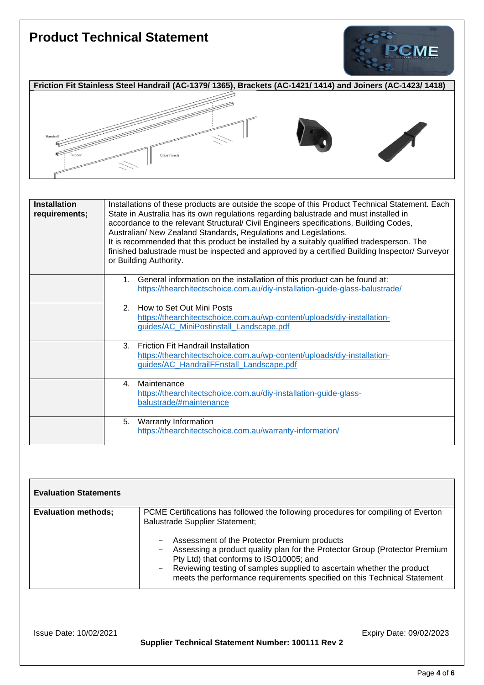# **Product Technical Statement CME Friction Fit Stainless Steel Handrail (AC-1379/ 1365), Brackets (AC-1421/ 1414) and Joiners (AC-1423/ 1418)** Glass Panels

| <b>Installation</b><br>requirements; | Installations of these products are outside the scope of this Product Technical Statement. Each<br>State in Australia has its own regulations regarding balustrade and must installed in<br>accordance to the relevant Structural/ Civil Engineers specifications, Building Codes,<br>Australian/ New Zealand Standards, Regulations and Legislations.<br>It is recommended that this product be installed by a suitably qualified tradesperson. The<br>finished balustrade must be inspected and approved by a certified Building Inspector/ Surveyor<br>or Building Authority. |  |  |
|--------------------------------------|----------------------------------------------------------------------------------------------------------------------------------------------------------------------------------------------------------------------------------------------------------------------------------------------------------------------------------------------------------------------------------------------------------------------------------------------------------------------------------------------------------------------------------------------------------------------------------|--|--|
|                                      | General information on the installation of this product can be found at:<br>1.<br>https://thearchitectschoice.com.au/diy-installation-guide-glass-balustrade/                                                                                                                                                                                                                                                                                                                                                                                                                    |  |  |
|                                      | 2. How to Set Out Mini Posts<br>https://thearchitectschoice.com.au/wp-content/uploads/diy-installation-<br>guides/AC_MiniPostinstall_Landscape.pdf                                                                                                                                                                                                                                                                                                                                                                                                                               |  |  |
|                                      | <b>Friction Fit Handrail Installation</b><br>3<br>https://thearchitectschoice.com.au/wp-content/uploads/diy-installation-<br>guides/AC_HandrailFFnstall_Landscape.pdf                                                                                                                                                                                                                                                                                                                                                                                                            |  |  |
|                                      | Maintenance<br>4.<br>https://thearchitectschoice.com.au/diy-installation-guide-glass-<br>balustrade/#maintenance                                                                                                                                                                                                                                                                                                                                                                                                                                                                 |  |  |
|                                      | 5. Warranty Information<br>https://thearchitectschoice.com.au/warranty-information/                                                                                                                                                                                                                                                                                                                                                                                                                                                                                              |  |  |

| <b>Evaluation Statements</b> |                                                                                                                                                                                                                                                                                                                                                                                                                                                             |
|------------------------------|-------------------------------------------------------------------------------------------------------------------------------------------------------------------------------------------------------------------------------------------------------------------------------------------------------------------------------------------------------------------------------------------------------------------------------------------------------------|
| <b>Evaluation methods;</b>   | PCME Certifications has followed the following procedures for compiling of Everton<br><b>Balustrade Supplier Statement;</b><br>Assessment of the Protector Premium products<br>Assessing a product quality plan for the Protector Group (Protector Premium<br>Pty Ltd) that conforms to ISO10005; and<br>Reviewing testing of samples supplied to ascertain whether the product<br>meets the performance requirements specified on this Technical Statement |

**Supplier Technical Statement Number: 100111 Rev 2**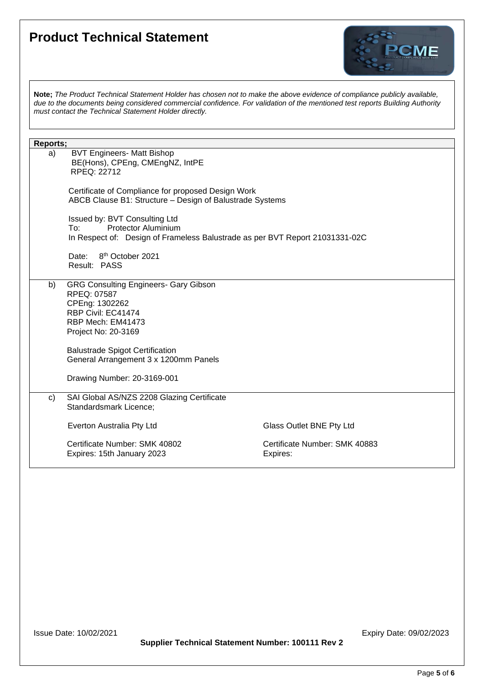

**Note;** *The Product Technical Statement Holder has chosen not to make the above evidence of compliance publicly available, due to the documents being considered commercial confidence. For validation of the mentioned test reports Building Authority must contact the Technical Statement Holder directly.*

| Reports; |                                                                              |                               |  |  |
|----------|------------------------------------------------------------------------------|-------------------------------|--|--|
| a)       | <b>BVT Engineers- Matt Bishop</b>                                            |                               |  |  |
|          | BE(Hons), CPEng, CMEngNZ, IntPE                                              |                               |  |  |
|          | RPEQ: 22712                                                                  |                               |  |  |
|          |                                                                              |                               |  |  |
|          | Certificate of Compliance for proposed Design Work                           |                               |  |  |
|          | ABCB Clause B1: Structure - Design of Balustrade Systems                     |                               |  |  |
|          |                                                                              |                               |  |  |
|          | Issued by: BVT Consulting Ltd<br><b>Protector Aluminium</b><br>To:           |                               |  |  |
|          | In Respect of: Design of Frameless Balustrade as per BVT Report 21031331-02C |                               |  |  |
|          |                                                                              |                               |  |  |
|          | Date: 8 <sup>th</sup> October 2021                                           |                               |  |  |
|          | Result: PASS                                                                 |                               |  |  |
|          |                                                                              |                               |  |  |
| b)       | <b>GRG Consulting Engineers- Gary Gibson</b>                                 |                               |  |  |
|          | RPEQ: 07587                                                                  |                               |  |  |
|          | CPEng: 1302262                                                               |                               |  |  |
|          | RBP Civil: EC41474                                                           |                               |  |  |
|          | RBP Mech: EM41473                                                            |                               |  |  |
|          | Project No: 20-3169                                                          |                               |  |  |
|          |                                                                              |                               |  |  |
|          | <b>Balustrade Spigot Certification</b>                                       |                               |  |  |
|          | General Arrangement 3 x 1200mm Panels                                        |                               |  |  |
|          |                                                                              |                               |  |  |
|          | Drawing Number: 20-3169-001                                                  |                               |  |  |
|          |                                                                              |                               |  |  |
| c)       | SAI Global AS/NZS 2208 Glazing Certificate                                   |                               |  |  |
|          | Standardsmark Licence;                                                       |                               |  |  |
|          |                                                                              |                               |  |  |
|          | Everton Australia Pty Ltd                                                    | Glass Outlet BNE Pty Ltd      |  |  |
|          |                                                                              |                               |  |  |
|          | Certificate Number: SMK 40802                                                | Certificate Number: SMK 40883 |  |  |
|          | Expires: 15th January 2023                                                   | Expires:                      |  |  |
|          |                                                                              |                               |  |  |

**Supplier Technical Statement Number: 100111 Rev 2**